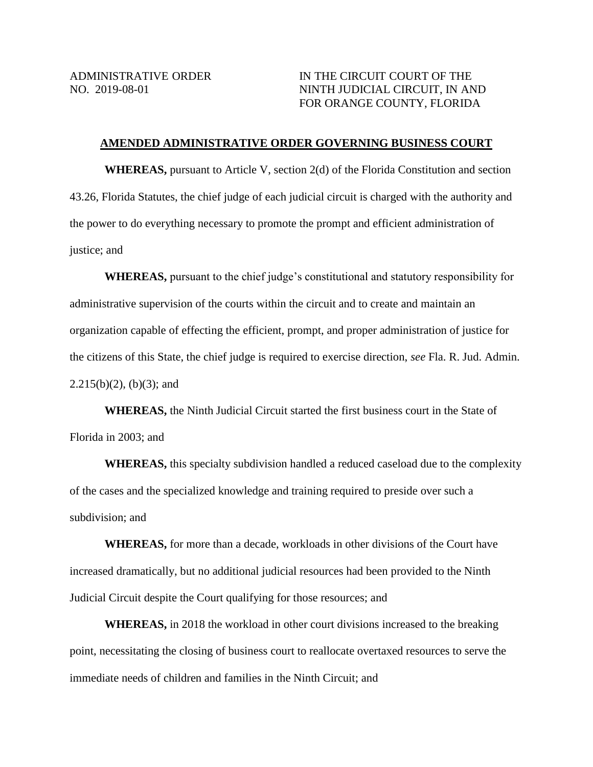## ADMINISTRATIVE ORDER IN THE CIRCUIT COURT OF THE NO. 2019-08-01 NINTH JUDICIAL CIRCUIT, IN AND FOR ORANGE COUNTY, FLORIDA

#### **AMENDED ADMINISTRATIVE ORDER GOVERNING BUSINESS COURT**

**WHEREAS,** pursuant to Article V, section 2(d) of the Florida Constitution and section 43.26, Florida Statutes, the chief judge of each judicial circuit is charged with the authority and the power to do everything necessary to promote the prompt and efficient administration of justice; and

**WHEREAS,** pursuant to the chief judge's constitutional and statutory responsibility for administrative supervision of the courts within the circuit and to create and maintain an organization capable of effecting the efficient, prompt, and proper administration of justice for the citizens of this State, the chief judge is required to exercise direction, *see* Fla. R. Jud. Admin.  $2.215(b)(2)$ , (b)(3); and

**WHEREAS,** the Ninth Judicial Circuit started the first business court in the State of Florida in 2003; and

**WHEREAS,** this specialty subdivision handled a reduced caseload due to the complexity of the cases and the specialized knowledge and training required to preside over such a subdivision; and

**WHEREAS,** for more than a decade, workloads in other divisions of the Court have increased dramatically, but no additional judicial resources had been provided to the Ninth Judicial Circuit despite the Court qualifying for those resources; and

**WHEREAS,** in 2018 the workload in other court divisions increased to the breaking point, necessitating the closing of business court to reallocate overtaxed resources to serve the immediate needs of children and families in the Ninth Circuit; and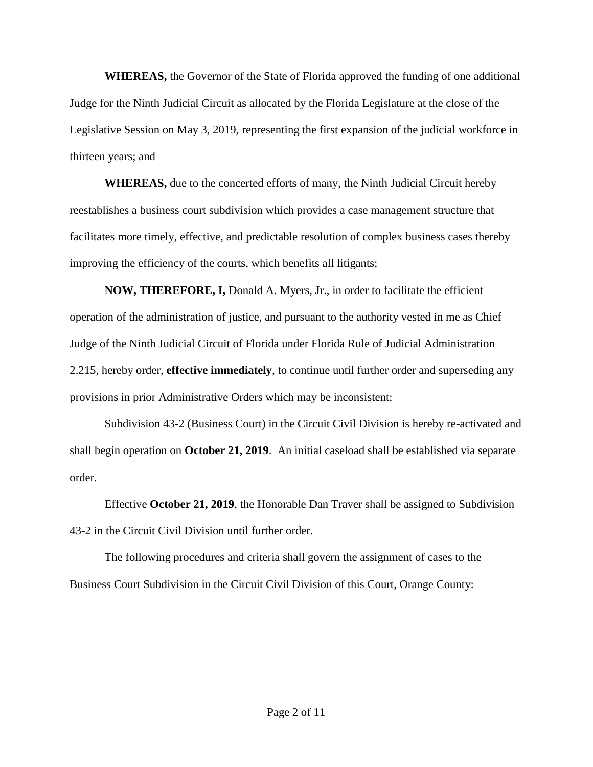**WHEREAS,** the Governor of the State of Florida approved the funding of one additional Judge for the Ninth Judicial Circuit as allocated by the Florida Legislature at the close of the Legislative Session on May 3, 2019, representing the first expansion of the judicial workforce in thirteen years; and

**WHEREAS,** due to the concerted efforts of many, the Ninth Judicial Circuit hereby reestablishes a business court subdivision which provides a case management structure that facilitates more timely, effective, and predictable resolution of complex business cases thereby improving the efficiency of the courts, which benefits all litigants;

**NOW, THEREFORE, I,** Donald A. Myers, Jr., in order to facilitate the efficient operation of the administration of justice, and pursuant to the authority vested in me as Chief Judge of the Ninth Judicial Circuit of Florida under Florida Rule of Judicial Administration 2.215, hereby order, **effective immediately**, to continue until further order and superseding any provisions in prior Administrative Orders which may be inconsistent:

Subdivision 43-2 (Business Court) in the Circuit Civil Division is hereby re-activated and shall begin operation on **October 21, 2019**. An initial caseload shall be established via separate order.

Effective **October 21, 2019**, the Honorable Dan Traver shall be assigned to Subdivision 43-2 in the Circuit Civil Division until further order.

The following procedures and criteria shall govern the assignment of cases to the Business Court Subdivision in the Circuit Civil Division of this Court, Orange County: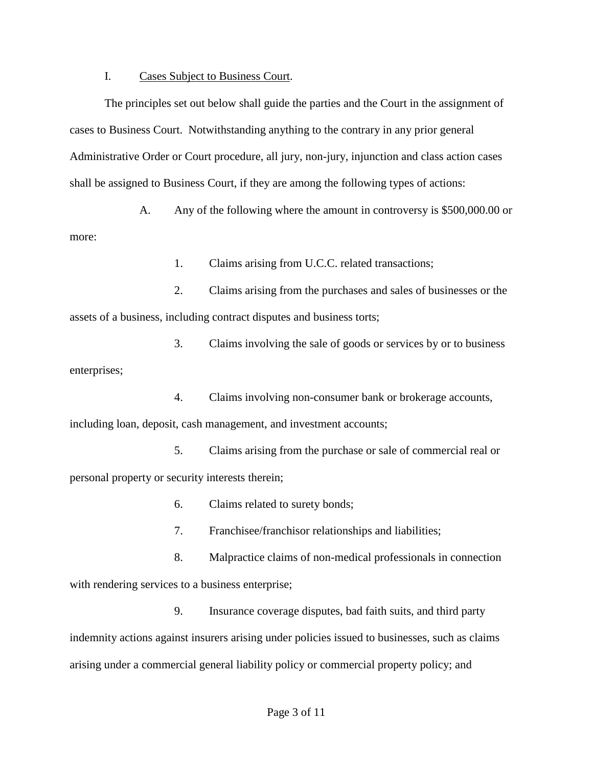### I. Cases Subject to Business Court.

The principles set out below shall guide the parties and the Court in the assignment of cases to Business Court. Notwithstanding anything to the contrary in any prior general Administrative Order or Court procedure, all jury, non-jury, injunction and class action cases shall be assigned to Business Court, if they are among the following types of actions:

A. Any of the following where the amount in controversy is \$500,000.00 or more:

1. Claims arising from U.C.C. related transactions;

2. Claims arising from the purchases and sales of businesses or the assets of a business, including contract disputes and business torts;

3. Claims involving the sale of goods or services by or to business enterprises;

4. Claims involving non-consumer bank or brokerage accounts, including loan, deposit, cash management, and investment accounts;

5. Claims arising from the purchase or sale of commercial real or personal property or security interests therein;

- 6. Claims related to surety bonds;
- 7. Franchisee/franchisor relationships and liabilities;
- 8. Malpractice claims of non-medical professionals in connection with rendering services to a business enterprise;

9. Insurance coverage disputes, bad faith suits, and third party indemnity actions against insurers arising under policies issued to businesses, such as claims arising under a commercial general liability policy or commercial property policy; and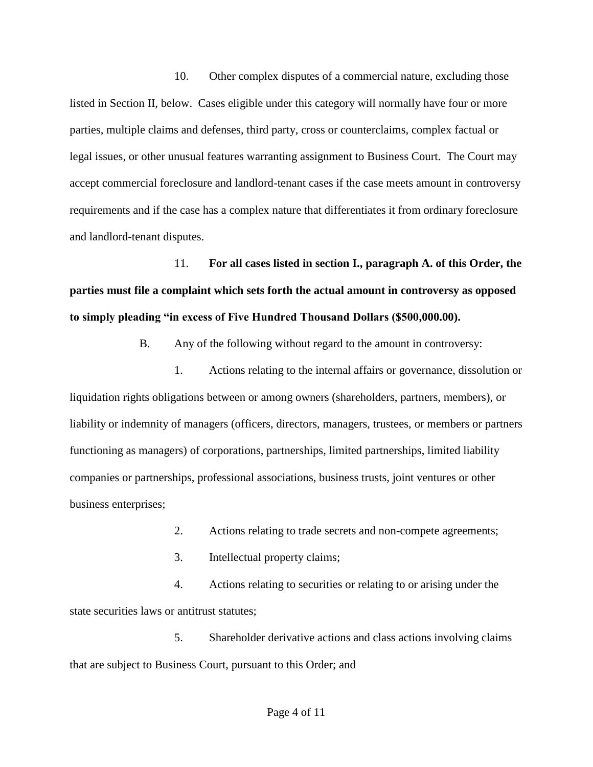10. Other complex disputes of a commercial nature, excluding those listed in Section II, below. Cases eligible under this category will normally have four or more parties, multiple claims and defenses, third party, cross or counterclaims, complex factual or legal issues, or other unusual features warranting assignment to Business Court. The Court may accept commercial foreclosure and landlord-tenant cases if the case meets amount in controversy requirements and if the case has a complex nature that differentiates it from ordinary foreclosure and landlord-tenant disputes.

11. **For all cases listed in section I., paragraph A. of this Order, the parties must file a complaint which sets forth the actual amount in controversy as opposed to simply pleading "in excess of Five Hundred Thousand Dollars (\$500,000.00).**

B. Any of the following without regard to the amount in controversy:

1. Actions relating to the internal affairs or governance, dissolution or liquidation rights obligations between or among owners (shareholders, partners, members), or liability or indemnity of managers (officers, directors, managers, trustees, or members or partners functioning as managers) of corporations, partnerships, limited partnerships, limited liability companies or partnerships, professional associations, business trusts, joint ventures or other business enterprises;

- 2. Actions relating to trade secrets and non-compete agreements;
- 3. Intellectual property claims;

4. Actions relating to securities or relating to or arising under the state securities laws or antitrust statutes;

5. Shareholder derivative actions and class actions involving claims that are subject to Business Court, pursuant to this Order; and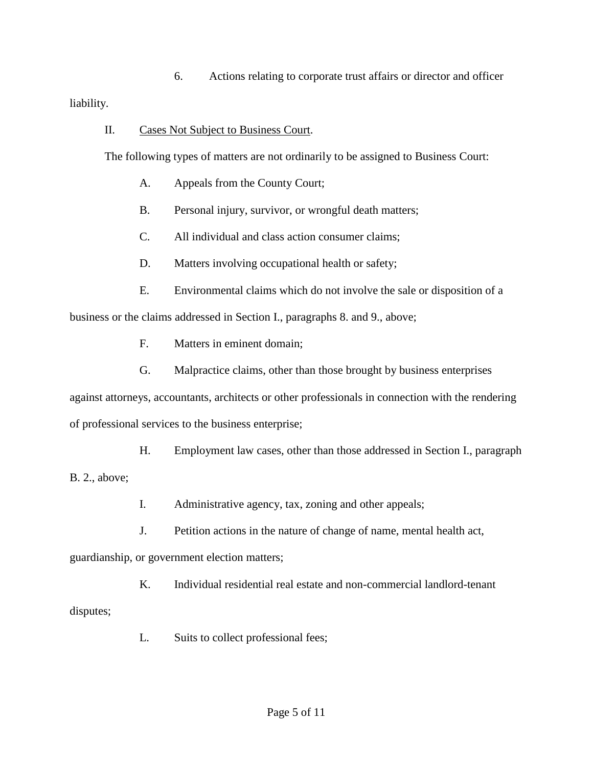6. Actions relating to corporate trust affairs or director and officer

liability.

II. Cases Not Subject to Business Court.

The following types of matters are not ordinarily to be assigned to Business Court:

- A. Appeals from the County Court;
- B. Personal injury, survivor, or wrongful death matters;
- C. All individual and class action consumer claims;
- D. Matters involving occupational health or safety;
- E. Environmental claims which do not involve the sale or disposition of a business or the claims addressed in Section I., paragraphs 8. and 9., above;
	- F. Matters in eminent domain;
	- G. Malpractice claims, other than those brought by business enterprises

against attorneys, accountants, architects or other professionals in connection with the rendering of professional services to the business enterprise;

H. Employment law cases, other than those addressed in Section I., paragraph B. 2., above;

- I. Administrative agency, tax, zoning and other appeals;
- J. Petition actions in the nature of change of name, mental health act,

guardianship, or government election matters;

K. Individual residential real estate and non-commercial landlord-tenant disputes;

L. Suits to collect professional fees;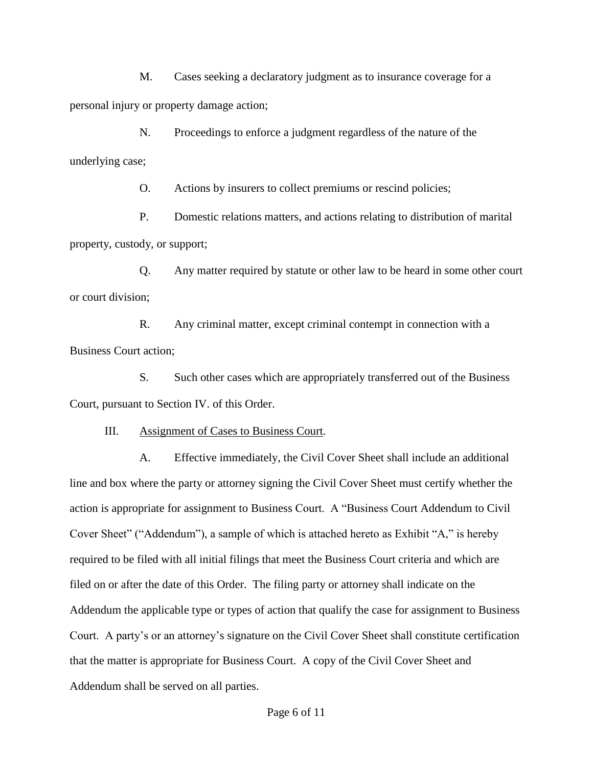M. Cases seeking a declaratory judgment as to insurance coverage for a personal injury or property damage action;

N. Proceedings to enforce a judgment regardless of the nature of the underlying case;

O. Actions by insurers to collect premiums or rescind policies;

P. Domestic relations matters, and actions relating to distribution of marital property, custody, or support;

Q. Any matter required by statute or other law to be heard in some other court or court division;

R. Any criminal matter, except criminal contempt in connection with a Business Court action;

S. Such other cases which are appropriately transferred out of the Business Court, pursuant to Section IV. of this Order.

III. Assignment of Cases to Business Court.

A. Effective immediately, the Civil Cover Sheet shall include an additional line and box where the party or attorney signing the Civil Cover Sheet must certify whether the action is appropriate for assignment to Business Court. A "Business Court Addendum to Civil Cover Sheet" ("Addendum"), a sample of which is attached hereto as Exhibit "A," is hereby required to be filed with all initial filings that meet the Business Court criteria and which are filed on or after the date of this Order. The filing party or attorney shall indicate on the Addendum the applicable type or types of action that qualify the case for assignment to Business Court. A party's or an attorney's signature on the Civil Cover Sheet shall constitute certification that the matter is appropriate for Business Court. A copy of the Civil Cover Sheet and Addendum shall be served on all parties.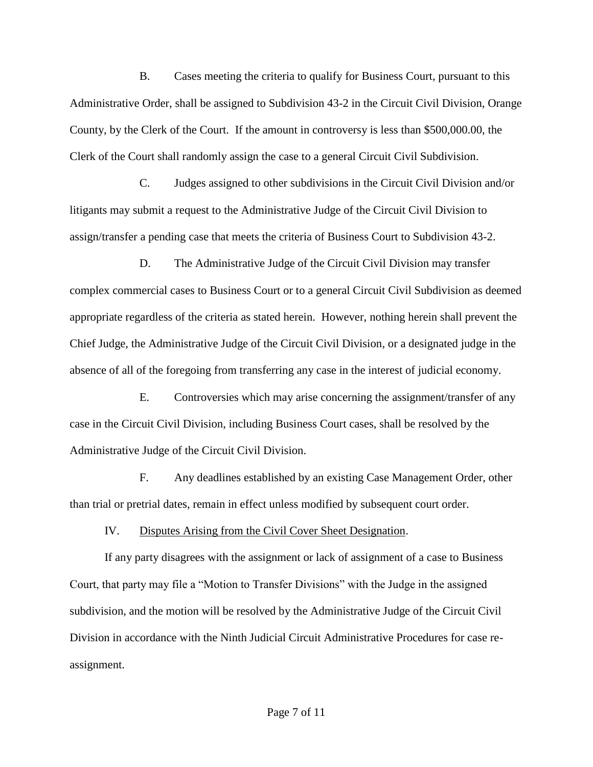B. Cases meeting the criteria to qualify for Business Court, pursuant to this Administrative Order, shall be assigned to Subdivision 43-2 in the Circuit Civil Division, Orange County, by the Clerk of the Court. If the amount in controversy is less than \$500,000.00, the Clerk of the Court shall randomly assign the case to a general Circuit Civil Subdivision.

C. Judges assigned to other subdivisions in the Circuit Civil Division and/or litigants may submit a request to the Administrative Judge of the Circuit Civil Division to assign/transfer a pending case that meets the criteria of Business Court to Subdivision 43-2.

D. The Administrative Judge of the Circuit Civil Division may transfer complex commercial cases to Business Court or to a general Circuit Civil Subdivision as deemed appropriate regardless of the criteria as stated herein. However, nothing herein shall prevent the Chief Judge, the Administrative Judge of the Circuit Civil Division, or a designated judge in the absence of all of the foregoing from transferring any case in the interest of judicial economy.

E. Controversies which may arise concerning the assignment/transfer of any case in the Circuit Civil Division, including Business Court cases, shall be resolved by the Administrative Judge of the Circuit Civil Division.

F. Any deadlines established by an existing Case Management Order, other than trial or pretrial dates, remain in effect unless modified by subsequent court order.

IV. Disputes Arising from the Civil Cover Sheet Designation.

If any party disagrees with the assignment or lack of assignment of a case to Business Court, that party may file a "Motion to Transfer Divisions" with the Judge in the assigned subdivision, and the motion will be resolved by the Administrative Judge of the Circuit Civil Division in accordance with the Ninth Judicial Circuit Administrative Procedures for case reassignment.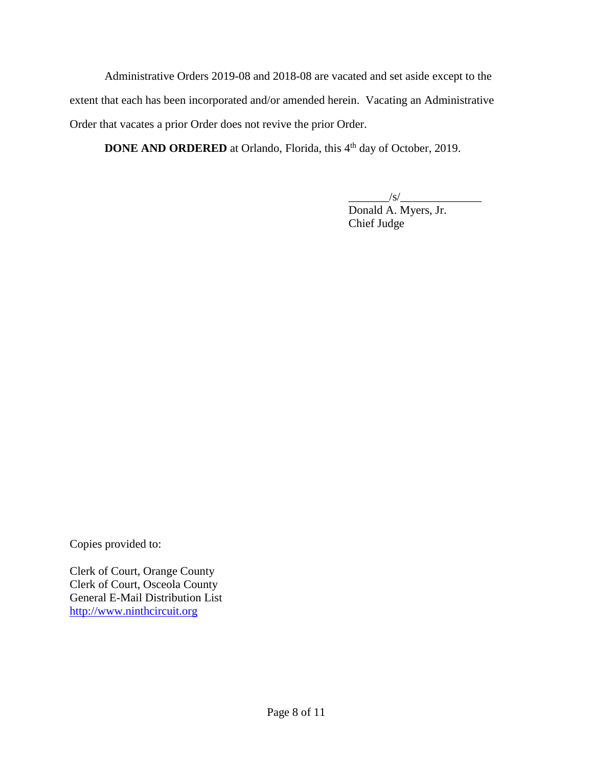Administrative Orders 2019-08 and 2018-08 are vacated and set aside except to the extent that each has been incorporated and/or amended herein. Vacating an Administrative Order that vacates a prior Order does not revive the prior Order.

**DONE AND ORDERED** at Orlando, Florida, this 4<sup>th</sup> day of October, 2019.

 $\sqrt{s/2}$ 

 Donald A. Myers, Jr. Chief Judge

Copies provided to:

Clerk of Court, Orange County Clerk of Court, Osceola County General E-Mail Distribution List [http://www.ninthcircuit.org](http://www.ninthcircuit.org/)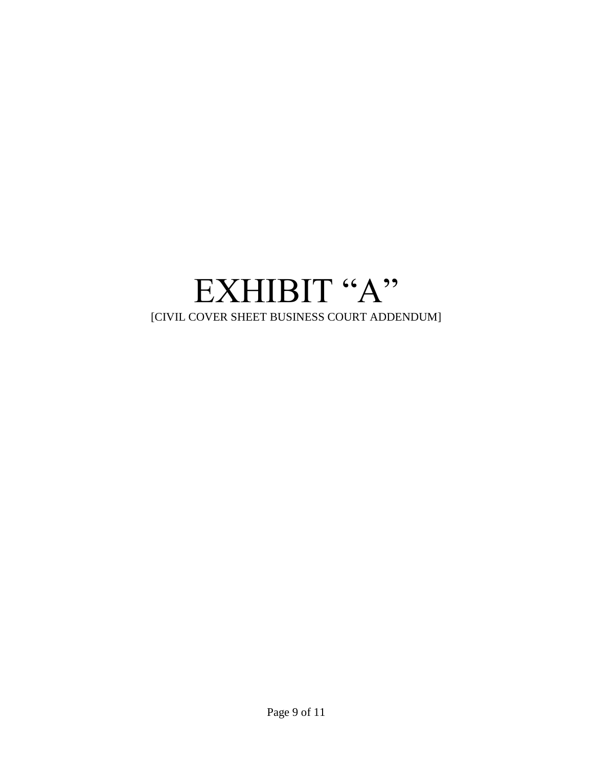# EXHIBIT "A" [CIVIL COVER SHEET BUSINESS COURT ADDENDUM]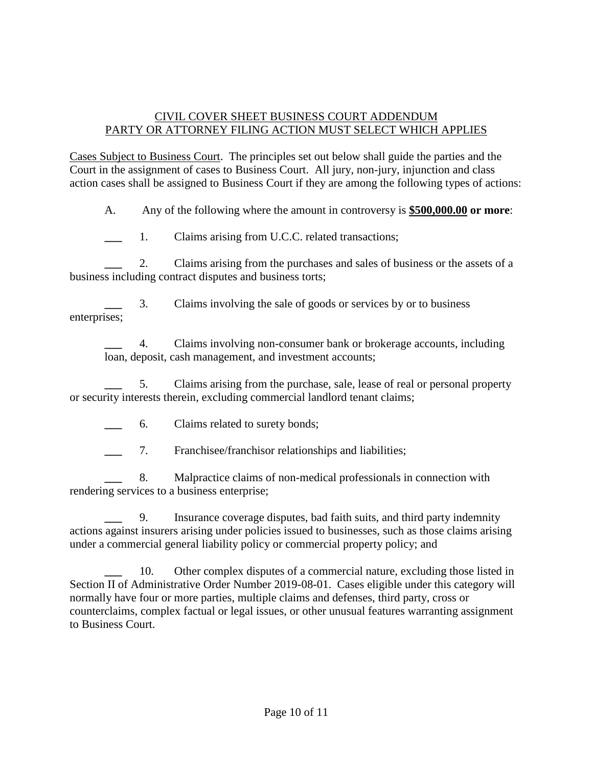## CIVIL COVER SHEET BUSINESS COURT ADDENDUM PARTY OR ATTORNEY FILING ACTION MUST SELECT WHICH APPLIES

Cases Subject to Business Court. The principles set out below shall guide the parties and the Court in the assignment of cases to Business Court. All jury, non-jury, injunction and class action cases shall be assigned to Business Court if they are among the following types of actions:

A. Any of the following where the amount in controversy is **\$500,000.00 or more**:

1. Claims arising from U.C.C. related transactions;

**\_\_\_** 2. Claims arising from the purchases and sales of business or the assets of a business including contract disputes and business torts;

**\_\_\_** 3. Claims involving the sale of goods or services by or to business enterprises;

**\_\_\_** 4. Claims involving non-consumer bank or brokerage accounts, including loan, deposit, cash management, and investment accounts;

**\_\_\_** 5. Claims arising from the purchase, sale, lease of real or personal property or security interests therein, excluding commercial landlord tenant claims;

**\_\_\_** 6. Claims related to surety bonds;

**\_\_\_** 7. Franchisee/franchisor relationships and liabilities;

**\_\_\_** 8. Malpractice claims of non-medical professionals in connection with rendering services to a business enterprise;

**\_\_\_** 9. Insurance coverage disputes, bad faith suits, and third party indemnity actions against insurers arising under policies issued to businesses, such as those claims arising under a commercial general liability policy or commercial property policy; and

10. Other complex disputes of a commercial nature, excluding those listed in Section II of Administrative Order Number 2019-08-01. Cases eligible under this category will normally have four or more parties, multiple claims and defenses, third party, cross or counterclaims, complex factual or legal issues, or other unusual features warranting assignment to Business Court.